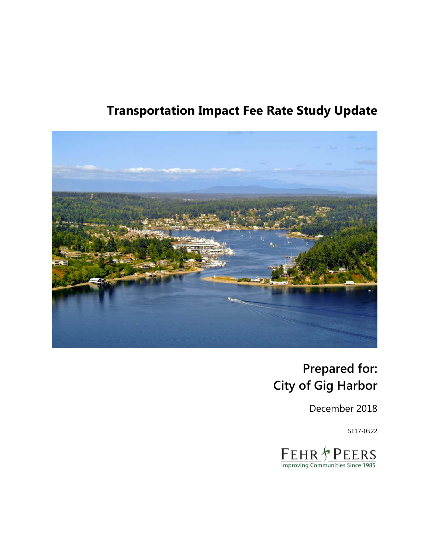# **Transportation Impact Fee Rate Study Update**



# **Prepared for: City of Gig Harbor**

December 2018

SE17-0522

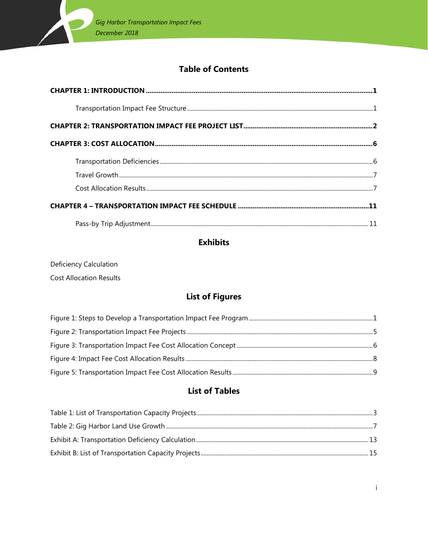

### **Table of Contents**

### **Exhibits**

Deficiency Calculation

**Cost Allocation Results** 

### **List of Figures**

### **List of Tables**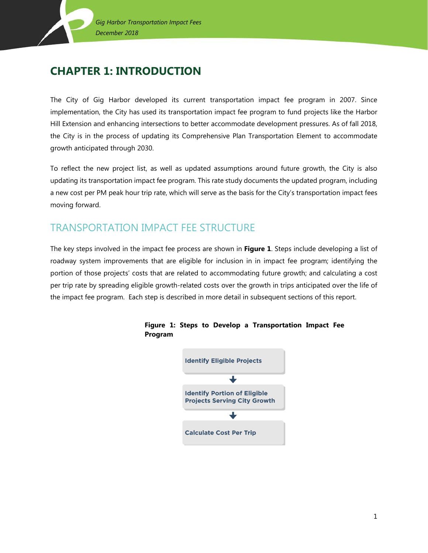## <span id="page-2-0"></span>**CHAPTER 1: INTRODUCTION**

The City of Gig Harbor developed its current transportation impact fee program in 2007. Since implementation, the City has used its transportation impact fee program to fund projects like the Harbor Hill Extension and enhancing intersections to better accommodate development pressures. As of fall 2018, the City is in the process of updating its Comprehensive Plan Transportation Element to accommodate growth anticipated through 2030.

To reflect the new project list, as well as updated assumptions around future growth, the City is also updating its transportation impact fee program. This rate study documents the updated program, including a new cost per PM peak hour trip rate, which will serve as the basis for the City's transportation impact fees moving forward.

## <span id="page-2-1"></span>TRANSPORTATION IMPACT FEE STRUCTURE

The key steps involved in the impact fee process are shown in **Figure 1**. Steps include developing a list of roadway system improvements that are eligible for inclusion in in impact fee program; identifying the portion of those projects' costs that are related to accommodating future growth; and calculating a cost per trip rate by spreading eligible growth-related costs over the growth in trips anticipated over the life of the impact fee program. Each step is described in more detail in subsequent sections of this report.



#### **Figure 1: Steps to Develop a Transportation Impact Fee Program**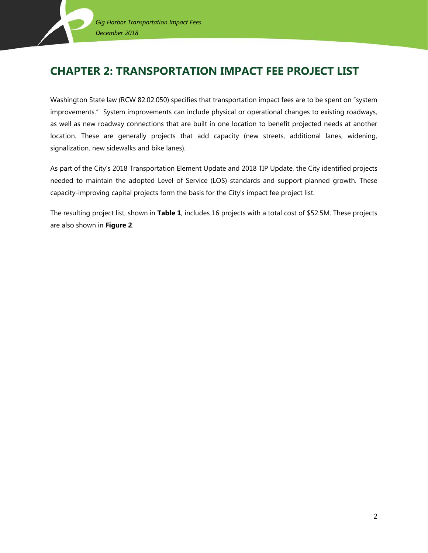## <span id="page-3-0"></span>**CHAPTER 2: TRANSPORTATION IMPACT FEE PROJECT LIST**

Washington State law (RCW 82.02.050) specifies that transportation impact fees are to be spent on "system improvements." System improvements can include physical or operational changes to existing roadways, as well as new roadway connections that are built in one location to benefit projected needs at another location. These are generally projects that add capacity (new streets, additional lanes, widening, signalization, new sidewalks and bike lanes).

As part of the City's 2018 Transportation Element Update and 2018 TIP Update, the City identified projects needed to maintain the adopted Level of Service (LOS) standards and support planned growth. These capacity-improving capital projects form the basis for the City's impact fee project list.

The resulting project list, shown in **Table 1**, includes 16 projects with a total cost of \$52.5M. These projects are also shown in **Figure 2**.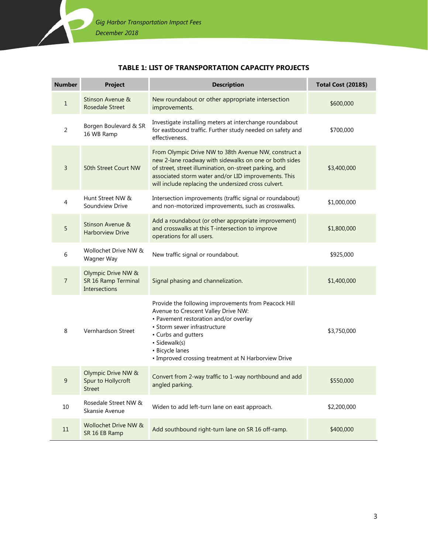#### **TABLE 1: LIST OF TRANSPORTATION CAPACITY PROJECTS**

<span id="page-4-0"></span>

| <b>Number</b>  | <b>Project</b>                                                    | <b>Description</b>                                                                                                                                                                                                                                                                       | <b>Total Cost (2018\$)</b> |
|----------------|-------------------------------------------------------------------|------------------------------------------------------------------------------------------------------------------------------------------------------------------------------------------------------------------------------------------------------------------------------------------|----------------------------|
| $\mathbf 1$    | Stinson Avenue &<br><b>Rosedale Street</b>                        | New roundabout or other appropriate intersection<br>improvements.                                                                                                                                                                                                                        | \$600,000                  |
| $\overline{2}$ | Borgen Boulevard & SR<br>16 WB Ramp                               | Investigate installing meters at interchange roundabout<br>for eastbound traffic. Further study needed on safety and<br>effectiveness.                                                                                                                                                   | \$700,000                  |
| $\overline{3}$ | 50th Street Court NW                                              | From Olympic Drive NW to 38th Avenue NW, construct a<br>new 2-lane roadway with sidewalks on one or both sides<br>of street, street illumination, on-street parking, and<br>associated storm water and/or LID improvements. This<br>will include replacing the undersized cross culvert. | \$3,400,000                |
| $\overline{4}$ | Hunt Street NW &<br>Soundview Drive                               | Intersection improvements (traffic signal or roundabout)<br>and non-motorized improvements, such as crosswalks.                                                                                                                                                                          | \$1,000,000                |
| 5              | Stinson Avenue &<br><b>Harborview Drive</b>                       | Add a roundabout (or other appropriate improvement)<br>and crosswalks at this T-intersection to improve<br>operations for all users.                                                                                                                                                     | \$1,800,000                |
| 6              | Wollochet Drive NW &<br>Wagner Way                                | New traffic signal or roundabout.                                                                                                                                                                                                                                                        | \$925,000                  |
| $\overline{7}$ | Olympic Drive NW &<br>SR 16 Ramp Terminal<br><b>Intersections</b> | Signal phasing and channelization.                                                                                                                                                                                                                                                       | \$1,400,000                |
| 8              | Vernhardson Street                                                | Provide the following improvements from Peacock Hill<br>Avenue to Crescent Valley Drive NW:<br>• Pavement restoration and/or overlay<br>• Storm sewer infrastructure<br>• Curbs and gutters<br>· Sidewalk(s)<br>• Bicycle lanes<br>• Improved crossing treatment at N Harborview Drive   | \$3,750,000                |
| 9              | Olympic Drive NW &<br>Spur to Hollycroft<br><b>Street</b>         | Convert from 2-way traffic to 1-way northbound and add<br>angled parking.                                                                                                                                                                                                                | \$550,000                  |
| 10             | Rosedale Street NW &<br>Skansie Avenue                            | Widen to add left-turn lane on east approach.                                                                                                                                                                                                                                            | \$2,200,000                |
| 11             | Wollochet Drive NW &<br>SR 16 EB Ramp                             | Add southbound right-turn lane on SR 16 off-ramp.                                                                                                                                                                                                                                        | \$400,000                  |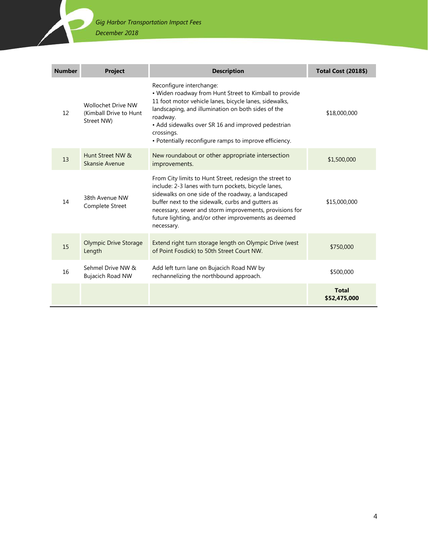### *Gig Harbor Transportation Impact Fees*

*December 2018*

<span id="page-5-0"></span>

| <b>Number</b> | <b>Project</b>                                                    | <b>Description</b>                                                                                                                                                                                                                                                                                                                                          | <b>Total Cost (2018\$)</b>   |
|---------------|-------------------------------------------------------------------|-------------------------------------------------------------------------------------------------------------------------------------------------------------------------------------------------------------------------------------------------------------------------------------------------------------------------------------------------------------|------------------------------|
| 12            | <b>Wollochet Drive NW</b><br>(Kimball Drive to Hunt<br>Street NW) | Reconfigure interchange:<br>• Widen roadway from Hunt Street to Kimball to provide<br>11 foot motor vehicle lanes, bicycle lanes, sidewalks,<br>landscaping, and illumination on both sides of the<br>roadway.<br>• Add sidewalks over SR 16 and improved pedestrian<br>crossings.<br>• Potentially reconfigure ramps to improve efficiency.                | \$18,000,000                 |
| 13            | Hunt Street NW &<br>Skansie Avenue                                | New roundabout or other appropriate intersection<br>improvements.                                                                                                                                                                                                                                                                                           | \$1,500,000                  |
| 14            | 38th Avenue NW<br>Complete Street                                 | From City limits to Hunt Street, redesign the street to<br>include: 2-3 lanes with turn pockets, bicycle lanes,<br>sidewalks on one side of the roadway, a landscaped<br>buffer next to the sidewalk, curbs and gutters as<br>necessary, sewer and storm improvements, provisions for<br>future lighting, and/or other improvements as deemed<br>necessary. | \$15,000,000                 |
| 15            | <b>Olympic Drive Storage</b><br>Length                            | Extend right turn storage length on Olympic Drive (west<br>of Point Fosdick) to 50th Street Court NW.                                                                                                                                                                                                                                                       | \$750,000                    |
| 16            | Sehmel Drive NW &<br><b>Bujacich Road NW</b>                      | Add left turn lane on Bujacich Road NW by<br>rechannelizing the northbound approach.                                                                                                                                                                                                                                                                        | \$500,000                    |
|               |                                                                   |                                                                                                                                                                                                                                                                                                                                                             | <b>Total</b><br>\$52,475,000 |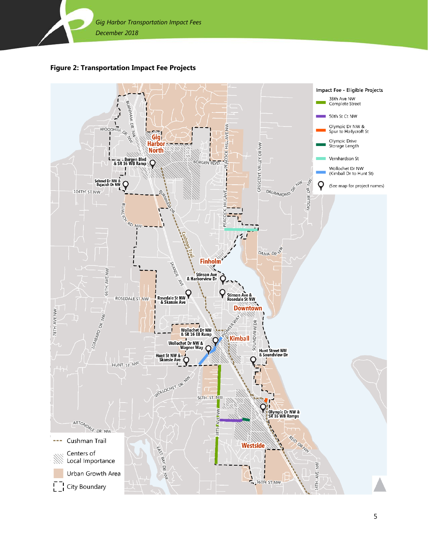

**Figure 2: Transportation Impact Fee Projects**

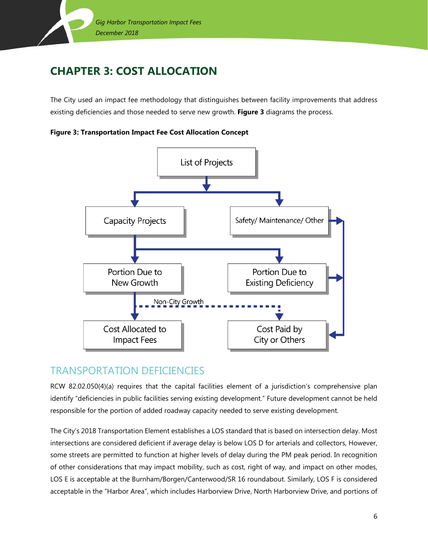

## <span id="page-7-0"></span>**CHAPTER 3: COST ALLOCATION**

The City used an impact fee methodology that distinguishes between facility improvements that address existing deficiencies and those needed to serve new growth. **Figure 3** diagrams the process.

<span id="page-7-2"></span>



## <span id="page-7-1"></span>TRANSPORTATION DEFICIENCIES

RCW 82.02.050(4)(a) requires that the capital facilities element of a jurisdiction's comprehensive plan identify "deficiencies in public facilities serving existing development." Future development cannot be held responsible for the portion of added roadway capacity needed to serve existing development.

The City's 2018 Transportation Element establishes a LOS standard that is based on intersection delay. Most intersections are considered deficient if average delay is below LOS D for arterials and collectors, However, some streets are permitted to function at higher levels of delay during the PM peak period. In recognition of other considerations that may impact mobility, such as cost, right of way, and impact on other modes, LOS E is acceptable at the Burnham/Borgen/Canterwood/SR 16 roundabout. Similarly, LOS F is considered acceptable in the "Harbor Area", which includes Harborview Drive, North Harborview Drive, and portions of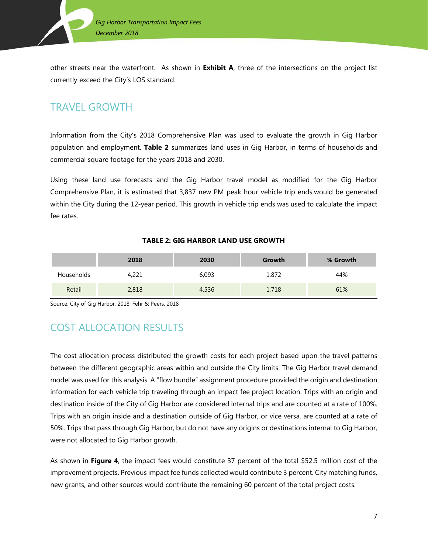

other streets near the waterfront. As shown in **Exhibit A**, three of the intersections on the project list currently exceed the City's LOS standard.

## <span id="page-8-0"></span>TRAVEL GROWTH

Information from the City's 2018 Comprehensive Plan was used to evaluate the growth in Gig Harbor population and employment. **Table 2** summarizes land uses in Gig Harbor, in terms of households and commercial square footage for the years 2018 and 2030.

Using these land use forecasts and the Gig Harbor travel model as modified for the Gig Harbor Comprehensive Plan, it is estimated that 3,837 new PM peak hour vehicle trip ends would be generated within the City during the 12-year period. This growth in vehicle trip ends was used to calculate the impact fee rates.

#### **TABLE 2: GIG HARBOR LAND USE GROWTH**

<span id="page-8-2"></span>

|            | 2018  | 2030  | Growth | % Growth |
|------------|-------|-------|--------|----------|
| Households | 4,221 | 6,093 | 1,872  | 44%      |
| Retail     | 2,818 | 4,536 | 1,718  | 61%      |

<span id="page-8-1"></span>Source: City of Gig Harbor, 2018; Fehr & Peers, 2018

## COST ALLOCATION RESULTS

The cost allocation process distributed the growth costs for each project based upon the travel patterns between the different geographic areas within and outside the City limits. The Gig Harbor travel demand model was used for this analysis. A "flow bundle" assignment procedure provided the origin and destination information for each vehicle trip traveling through an impact fee project location. Trips with an origin and destination inside of the City of Gig Harbor are considered internal trips and are counted at a rate of 100%. Trips with an origin inside and a destination outside of Gig Harbor, or vice versa, are counted at a rate of 50%. Trips that pass through Gig Harbor, but do not have any origins or destinations internal to Gig Harbor, were not allocated to Gig Harbor growth.

As shown in **[Figure 4](#page-9-0)**, the impact fees would constitute 37 percent of the total \$52.5 million cost of the improvement projects. Previous impact fee funds collected would contribute 3 percent. City matching funds, new grants, and other sources would contribute the remaining 60 percent of the total project costs.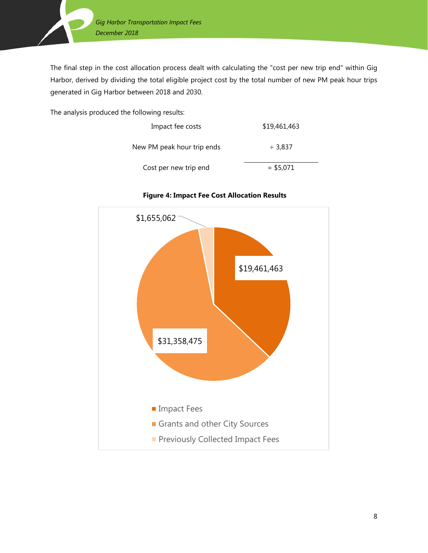

The final step in the cost allocation process dealt with calculating the "cost per new trip end" within Gig Harbor, derived by dividing the total eligible project cost by the total number of new PM peak hour trips generated in Gig Harbor between 2018 and 2030.

The analysis produced the following results:

| Impact fee costs           | \$19,461,463 |
|----------------------------|--------------|
| New PM peak hour trip ends | $\div$ 3.837 |
| Cost per new trip end      | $=$ \$5,071  |



#### <span id="page-9-0"></span>**Figure 4: Impact Fee Cost Allocation Results**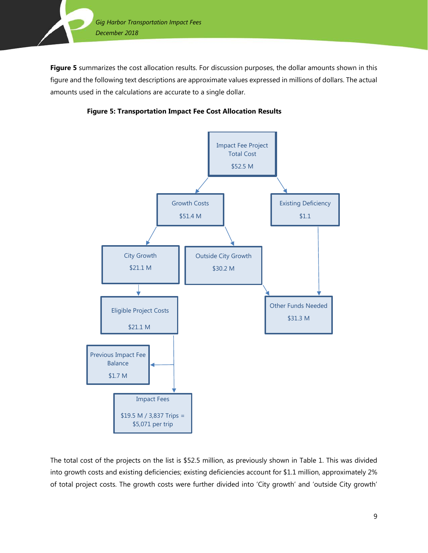

**[Figure 5](#page-10-0)** summarizes the cost allocation results. For discussion purposes, the dollar amounts shown in this figure and the following text descriptions are approximate values expressed in millions of dollars. The actual amounts used in the calculations are accurate to a single dollar.



<span id="page-10-0"></span>

The total cost of the projects on the list is \$52.5 million, as previously shown in Table 1. This was divided into growth costs and existing deficiencies; existing deficiencies account for \$1.1 million, approximately 2% of total project costs. The growth costs were further divided into 'City growth' and 'outside City growth'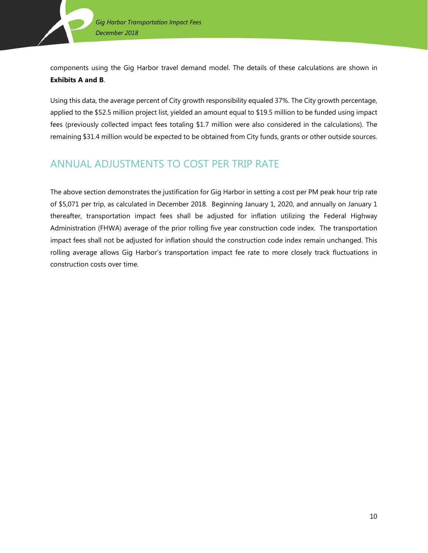components using the Gig Harbor travel demand model. The details of these calculations are shown in **Exhibits A and B**.

Using this data, the average percent of City growth responsibility equaled 37%. The City growth percentage, applied to the \$52.5 million project list, yielded an amount equal to \$19.5 million to be funded using impact fees (previously collected impact fees totaling \$1.7 million were also considered in the calculations). The remaining \$31.4 million would be expected to be obtained from City funds, grants or other outside sources.

## ANNUAL ADJUSTMENTS TO COST PER TRIP RATE

The above section demonstrates the justification for Gig Harbor in setting a cost per PM peak hour trip rate of \$5,071 per trip, as calculated in December 2018. Beginning January 1, 2020, and annually on January 1 thereafter, transportation impact fees shall be adjusted for inflation utilizing the Federal Highway Administration (FHWA) average of the prior rolling five year construction code index. The transportation impact fees shall not be adjusted for inflation should the construction code index remain unchanged. This rolling average allows Gig Harbor's transportation impact fee rate to more closely track fluctuations in construction costs over time.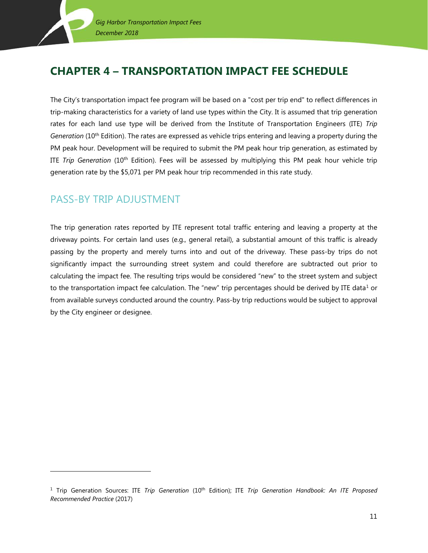## <span id="page-12-0"></span>**CHAPTER 4 – TRANSPORTATION IMPACT FEE SCHEDULE**

The City's transportation impact fee program will be based on a "cost per trip end" to reflect differences in trip-making characteristics for a variety of land use types within the City. It is assumed that trip generation rates for each land use type will be derived from the Institute of Transportation Engineers (ITE) *Trip Generation* (10<sup>th</sup> Edition). The rates are expressed as vehicle trips entering and leaving a property during the PM peak hour. Development will be required to submit the PM peak hour trip generation, as estimated by ITE *Trip Generation* (10th Edition). Fees will be assessed by multiplying this PM peak hour vehicle trip generation rate by the \$5,071 per PM peak hour trip recommended in this rate study.

### <span id="page-12-1"></span>PASS-BY TRIP ADJUSTMENT

l

The trip generation rates reported by ITE represent total traffic entering and leaving a property at the driveway points. For certain land uses (e.g., general retail), a substantial amount of this traffic is already passing by the property and merely turns into and out of the driveway. These pass-by trips do not significantly impact the surrounding street system and could therefore are subtracted out prior to calculating the impact fee. The resulting trips would be considered "new" to the street system and subject to the transportation impact fee calculation. The "new" trip percentages should be derived by ITE data<sup>[1](#page-12-2)</sup> or from available surveys conducted around the country. Pass-by trip reductions would be subject to approval by the City engineer or designee.

<span id="page-12-2"></span><sup>&</sup>lt;sup>1</sup> Trip Generation Sources: ITE *Trip Generation* (10<sup>th</sup> Edition); ITE *Trip Generation Handbook: An ITE Proposed Recommended Practice* (2017)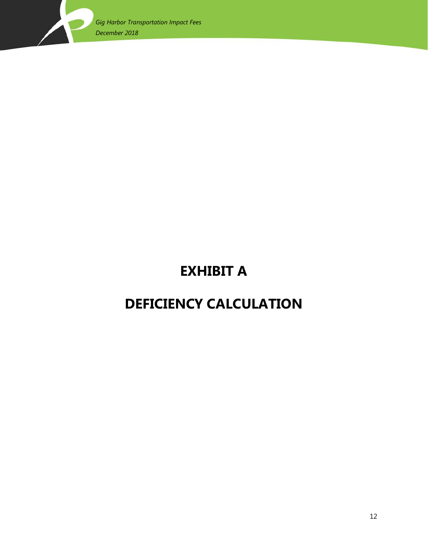

# **EXHIBIT A**

# <span id="page-13-0"></span>**DEFICIENCY CALCULATION**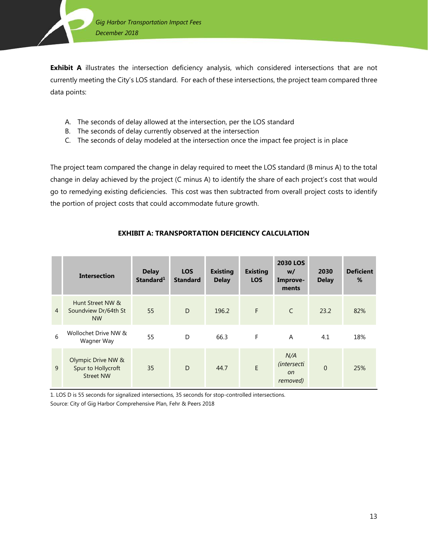

**Exhibit A** illustrates the intersection deficiency analysis, which considered intersections that are not currently meeting the City's LOS standard. For each of these intersections, the project team compared three data points:

- A. The seconds of delay allowed at the intersection, per the LOS standard
- B. The seconds of delay currently observed at the intersection
- C. The seconds of delay modeled at the intersection once the impact fee project is in place

The project team compared the change in delay required to meet the LOS standard (B minus A) to the total change in delay achieved by the project (C minus A) to identify the share of each project's cost that would go to remedying existing deficiencies. This cost was then subtracted from overall project costs to identify the portion of project costs that could accommodate future growth.

<span id="page-14-0"></span>

|                | <b>Intersection</b>                                          | <b>Delay</b><br>Standard <sup>1</sup> | <b>LOS</b><br><b>Standard</b> | <b>Existing</b><br><b>Delay</b> | <b>Existing</b><br><b>LOS</b> | <b>2030 LOS</b><br>w/<br>Improve-<br>ments             | 2030<br><b>Delay</b> | <b>Deficient</b><br>% |
|----------------|--------------------------------------------------------------|---------------------------------------|-------------------------------|---------------------------------|-------------------------------|--------------------------------------------------------|----------------------|-----------------------|
| $\overline{4}$ | Hunt Street NW &<br>Soundview Dr/64th St<br><b>NW</b>        | 55                                    | D                             | 196.2                           | F                             | $\mathsf{C}$                                           | 23.2                 | 82%                   |
| 6              | Wollochet Drive NW &<br>Wagner Way                           | 55                                    | D                             | 66.3                            | F                             | $\overline{A}$                                         | 4.1                  | 18%                   |
| 9              | Olympic Drive NW &<br>Spur to Hollycroft<br><b>Street NW</b> | 35                                    | D                             | 44.7                            | E                             | N/A<br><i>(intersecti</i><br><sub>on</sub><br>removed) | $\Omega$             | 25%                   |

#### **EXHIBIT A: TRANSPORTATION DEFICIENCY CALCULATION**

1. LOS D is 55 seconds for signalized intersections, 35 seconds for stop-controlled intersections. Source: City of Gig Harbor Comprehensive Plan, Fehr & Peers 2018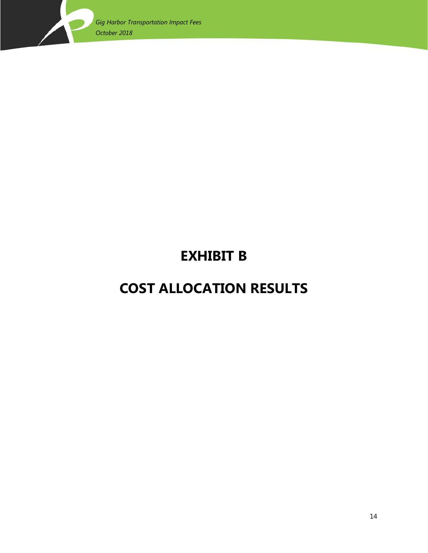

# **EXHIBIT B**

# <span id="page-15-0"></span>**COST ALLOCATION RESULTS**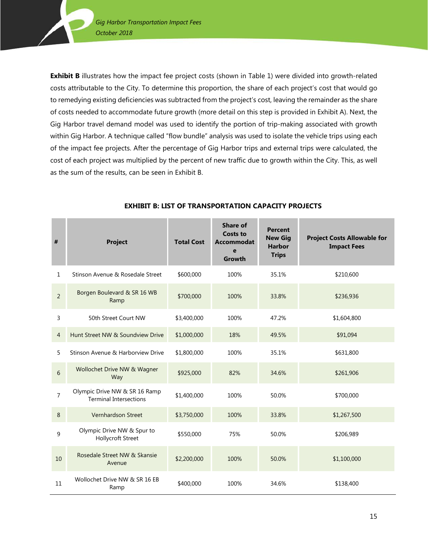**Exhibit B** illustrates how the impact fee project costs (shown in Table 1) were divided into growth-related costs attributable to the City. To determine this proportion, the share of each project's cost that would go to remedying existing deficiencies was subtracted from the project's cost, leaving the remainder as the share of costs needed to accommodate future growth (more detail on this step is provided in Exhibit A). Next, the Gig Harbor travel demand model was used to identify the portion of trip-making associated with growth within Gig Harbor. A technique called "flow bundle" analysis was used to isolate the vehicle trips using each of the impact fee projects. After the percentage of Gig Harbor trips and external trips were calculated, the cost of each project was multiplied by the percent of new traffic due to growth within the City. This, as well as the sum of the results, can be seen in Exhibit B.

<span id="page-16-0"></span>

| #              | <b>Project</b>                                                 | <b>Total Cost</b> | <b>Share of</b><br><b>Costs to</b><br><b>Accommodat</b><br>e<br>Growth | <b>Percent</b><br><b>New Gig</b><br><b>Harbor</b><br><b>Trips</b> | <b>Project Costs Allowable for</b><br><b>Impact Fees</b> |
|----------------|----------------------------------------------------------------|-------------------|------------------------------------------------------------------------|-------------------------------------------------------------------|----------------------------------------------------------|
| $\mathbf{1}$   | Stinson Avenue & Rosedale Street                               | \$600,000         | 100%                                                                   | 35.1%                                                             | \$210,600                                                |
| $\overline{2}$ | Borgen Boulevard & SR 16 WB<br>Ramp                            | \$700,000         | 100%                                                                   | 33.8%                                                             | \$236,936                                                |
| 3              | 50th Street Court NW                                           | \$3,400,000       | 100%                                                                   | 47.2%                                                             | \$1,604,800                                              |
| 4              | Hunt Street NW & Soundview Drive                               | \$1,000,000       | 18%                                                                    | 49.5%                                                             | \$91,094                                                 |
| 5              | Stinson Avenue & Harborview Drive                              | \$1,800,000       | 100%                                                                   | 35.1%                                                             | \$631,800                                                |
| 6              | Wollochet Drive NW & Wagner<br>Way                             | \$925,000         | 82%                                                                    | 34.6%                                                             | \$261,906                                                |
| $\overline{7}$ | Olympic Drive NW & SR 16 Ramp<br><b>Terminal Intersections</b> | \$1,400,000       | 100%                                                                   | 50.0%                                                             | \$700,000                                                |
| 8              | Vernhardson Street                                             | \$3,750,000       | 100%                                                                   | 33.8%                                                             | \$1,267,500                                              |
| 9              | Olympic Drive NW & Spur to<br><b>Hollycroft Street</b>         | \$550,000         | 75%                                                                    | 50.0%                                                             | \$206,989                                                |
| 10             | Rosedale Street NW & Skansie<br>Avenue                         | \$2,200,000       | 100%                                                                   | 50.0%                                                             | \$1,100,000                                              |
| 11             | Wollochet Drive NW & SR 16 EB<br>Ramp                          | \$400,000         | 100%                                                                   | 34.6%                                                             | \$138,400                                                |

#### **EXHIBIT B: LIST OF TRANSPORTATION CAPACITY PROJECTS**